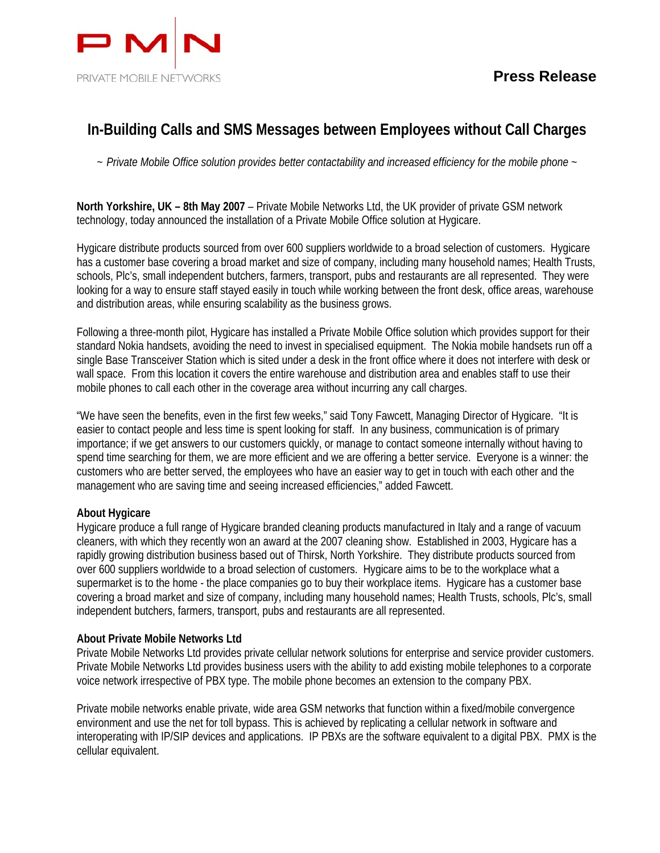

## **In-Building Calls and SMS Messages between Employees without Call Charges**

*~ Private Mobile Office solution provides better contactability and increased efficiency for the mobile phone ~* 

**North Yorkshire, UK – 8th May 2007** – Private Mobile Networks Ltd, the UK provider of private GSM network technology, today announced the installation of a Private Mobile Office solution at Hygicare.

Hygicare distribute products sourced from over 600 suppliers worldwide to a broad selection of customers. Hygicare has a customer base covering a broad market and size of company, including many household names; Health Trusts, schools, Plc's, small independent butchers, farmers, transport, pubs and restaurants are all represented. They were looking for a way to ensure staff stayed easily in touch while working between the front desk, office areas, warehouse and distribution areas, while ensuring scalability as the business grows.

Following a three-month pilot, Hygicare has installed a Private Mobile Office solution which provides support for their standard Nokia handsets, avoiding the need to invest in specialised equipment. The Nokia mobile handsets run off a single Base Transceiver Station which is sited under a desk in the front office where it does not interfere with desk or wall space. From this location it covers the entire warehouse and distribution area and enables staff to use their mobile phones to call each other in the coverage area without incurring any call charges.

"We have seen the benefits, even in the first few weeks," said Tony Fawcett, Managing Director of Hygicare. "It is easier to contact people and less time is spent looking for staff. In any business, communication is of primary importance; if we get answers to our customers quickly, or manage to contact someone internally without having to spend time searching for them, we are more efficient and we are offering a better service. Everyone is a winner: the customers who are better served, the employees who have an easier way to get in touch with each other and the management who are saving time and seeing increased efficiencies," added Fawcett.

## **About Hygicare**

Hygicare produce a full range of Hygicare branded cleaning products manufactured in Italy and a range of vacuum cleaners, with which they recently won an award at the 2007 cleaning show. Established in 2003, Hygicare has a rapidly growing distribution business based out of Thirsk, North Yorkshire. They distribute products sourced from over 600 suppliers worldwide to a broad selection of customers. Hygicare aims to be to the workplace what a supermarket is to the home - the place companies go to buy their workplace items. Hygicare has a customer base covering a broad market and size of company, including many household names; Health Trusts, schools, Plc's, small independent butchers, farmers, transport, pubs and restaurants are all represented.

## **About Private Mobile Networks Ltd**

Private Mobile Networks Ltd provides private cellular network solutions for enterprise and service provider customers. Private Mobile Networks Ltd provides business users with the ability to add existing mobile telephones to a corporate voice network irrespective of PBX type. The mobile phone becomes an extension to the company PBX.

Private mobile networks enable private, wide area GSM networks that function within a fixed/mobile convergence environment and use the net for toll bypass. This is achieved by replicating a cellular network in software and interoperating with IP/SIP devices and applications. IP PBXs are the software equivalent to a digital PBX. PMX is the cellular equivalent.